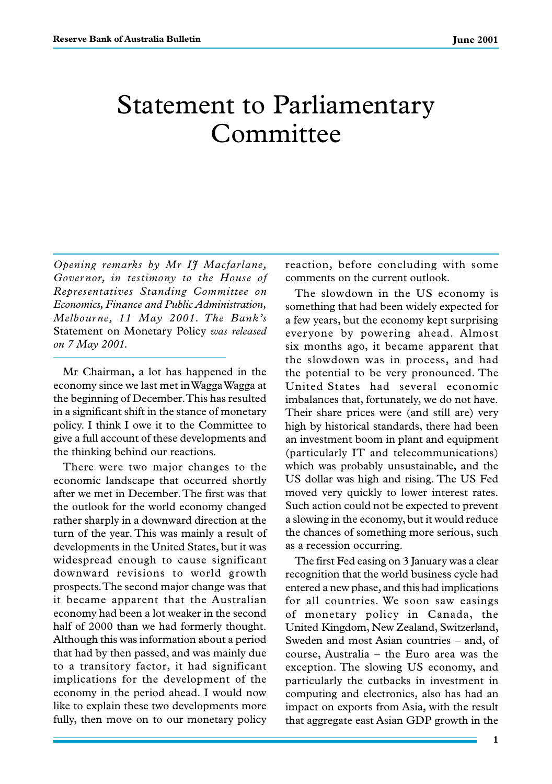## Statement to Parliamentary Committee

*Opening remarks by Mr IJ Macfarlane, Governor, in testimony to the House of Representatives Standing Committee on Economics, Finance and Public Administration, Melbourne, 11 May 2001. The Bank's* Statement on Monetary Policy *was released on 7 May 2001.*

Mr Chairman, a lot has happened in the economy since we last met in Wagga Wagga at the beginning of December. This has resulted in a significant shift in the stance of monetary policy. I think I owe it to the Committee to give a full account of these developments and the thinking behind our reactions.

There were two major changes to the economic landscape that occurred shortly after we met in December. The first was that the outlook for the world economy changed rather sharply in a downward direction at the turn of the year. This was mainly a result of developments in the United States, but it was widespread enough to cause significant downward revisions to world growth prospects. The second major change was that it became apparent that the Australian economy had been a lot weaker in the second half of 2000 than we had formerly thought. Although this was information about a period that had by then passed, and was mainly due to a transitory factor, it had significant implications for the development of the economy in the period ahead. I would now like to explain these two developments more fully, then move on to our monetary policy reaction, before concluding with some comments on the current outlook.

The slowdown in the US economy is something that had been widely expected for a few years, but the economy kept surprising everyone by powering ahead. Almost six months ago, it became apparent that the slowdown was in process, and had the potential to be very pronounced. The United States had several economic imbalances that, fortunately, we do not have. Their share prices were (and still are) very high by historical standards, there had been an investment boom in plant and equipment (particularly IT and telecommunications) which was probably unsustainable, and the US dollar was high and rising. The US Fed moved very quickly to lower interest rates. Such action could not be expected to prevent a slowing in the economy, but it would reduce the chances of something more serious, such as a recession occurring.

The first Fed easing on 3 January was a clear recognition that the world business cycle had entered a new phase, and this had implications for all countries. We soon saw easings of monetary policy in Canada, the United Kingdom, New Zealand, Switzerland, Sweden and most Asian countries – and, of course, Australia – the Euro area was the exception. The slowing US economy, and particularly the cutbacks in investment in computing and electronics, also has had an impact on exports from Asia, with the result that aggregate east Asian GDP growth in the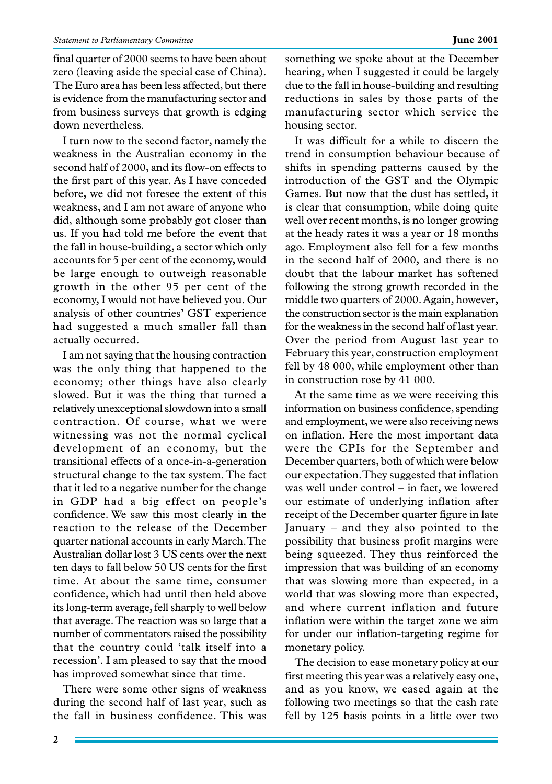final quarter of 2000 seems to have been about zero (leaving aside the special case of China). The Euro area has been less affected, but there is evidence from the manufacturing sector and from business surveys that growth is edging down nevertheless.

I turn now to the second factor, namely the weakness in the Australian economy in the second half of 2000, and its flow-on effects to the first part of this year. As I have conceded before, we did not foresee the extent of this weakness, and I am not aware of anyone who did, although some probably got closer than us. If you had told me before the event that the fall in house-building, a sector which only accounts for 5 per cent of the economy, would be large enough to outweigh reasonable growth in the other 95 per cent of the economy, I would not have believed you. Our analysis of other countries' GST experience had suggested a much smaller fall than actually occurred.

I am not saying that the housing contraction was the only thing that happened to the economy; other things have also clearly slowed. But it was the thing that turned a relatively unexceptional slowdown into a small contraction. Of course, what we were witnessing was not the normal cyclical development of an economy, but the transitional effects of a once-in-a-generation structural change to the tax system. The fact that it led to a negative number for the change in GDP had a big effect on people's confidence. We saw this most clearly in the reaction to the release of the December quarter national accounts in early March. The Australian dollar lost 3 US cents over the next ten days to fall below 50 US cents for the first time. At about the same time, consumer confidence, which had until then held above its long-term average, fell sharply to well below that average. The reaction was so large that a number of commentators raised the possibility that the country could 'talk itself into a recession'. I am pleased to say that the mood has improved somewhat since that time.

There were some other signs of weakness during the second half of last year, such as the fall in business confidence. This was

something we spoke about at the December hearing, when I suggested it could be largely due to the fall in house-building and resulting reductions in sales by those parts of the manufacturing sector which service the housing sector.

It was difficult for a while to discern the trend in consumption behaviour because of shifts in spending patterns caused by the introduction of the GST and the Olympic Games. But now that the dust has settled, it is clear that consumption, while doing quite well over recent months, is no longer growing at the heady rates it was a year or 18 months ago. Employment also fell for a few months in the second half of 2000, and there is no doubt that the labour market has softened following the strong growth recorded in the middle two quarters of 2000. Again, however, the construction sector is the main explanation for the weakness in the second half of last year. Over the period from August last year to February this year, construction employment fell by 48 000, while employment other than in construction rose by 41 000.

At the same time as we were receiving this information on business confidence, spending and employment, we were also receiving news on inflation. Here the most important data were the CPIs for the September and December quarters, both of which were below our expectation. They suggested that inflation was well under control – in fact, we lowered our estimate of underlying inflation after receipt of the December quarter figure in late January – and they also pointed to the possibility that business profit margins were being squeezed. They thus reinforced the impression that was building of an economy that was slowing more than expected, in a world that was slowing more than expected, and where current inflation and future inflation were within the target zone we aim for under our inflation-targeting regime for monetary policy.

The decision to ease monetary policy at our first meeting this year was a relatively easy one, and as you know, we eased again at the following two meetings so that the cash rate fell by 125 basis points in a little over two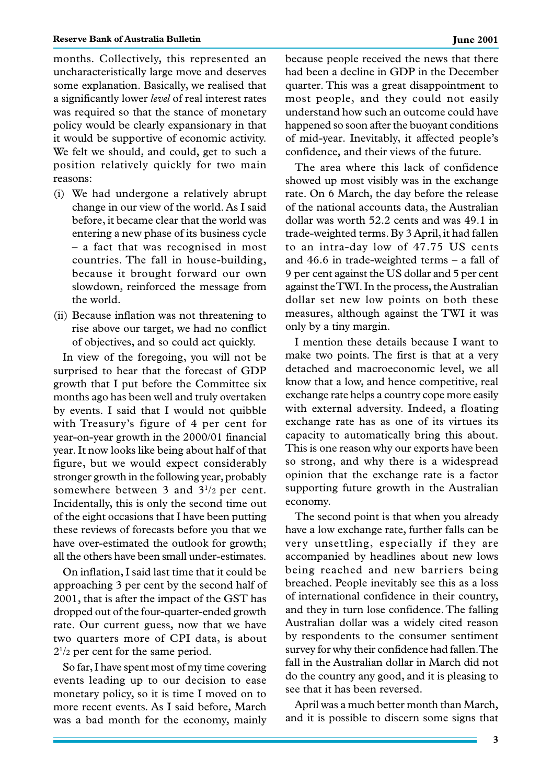months. Collectively, this represented an uncharacteristically large move and deserves some explanation. Basically, we realised that a significantly lower *level* of real interest rates was required so that the stance of monetary policy would be clearly expansionary in that it would be supportive of economic activity. We felt we should, and could, get to such a position relatively quickly for two main reasons:

- (i) We had undergone a relatively abrupt change in our view of the world. As I said before, it became clear that the world was entering a new phase of its business cycle – a fact that was recognised in most countries. The fall in house-building, because it brought forward our own slowdown, reinforced the message from the world.
- (ii) Because inflation was not threatening to rise above our target, we had no conflict of objectives, and so could act quickly.

In view of the foregoing, you will not be surprised to hear that the forecast of GDP growth that I put before the Committee six months ago has been well and truly overtaken by events. I said that I would not quibble with Treasury's figure of 4 per cent for year-on-year growth in the 2000/01 financial year. It now looks like being about half of that figure, but we would expect considerably stronger growth in the following year, probably somewhere between 3 and  $3^{1/2}$  per cent. Incidentally, this is only the second time out of the eight occasions that I have been putting these reviews of forecasts before you that we have over-estimated the outlook for growth; all the others have been small under-estimates.

On inflation, I said last time that it could be approaching 3 per cent by the second half of 2001, that is after the impact of the GST has dropped out of the four-quarter-ended growth rate. Our current guess, now that we have two quarters more of CPI data, is about 21 /2 per cent for the same period.

So far, I have spent most of my time covering events leading up to our decision to ease monetary policy, so it is time I moved on to more recent events. As I said before, March was a bad month for the economy, mainly because people received the news that there had been a decline in GDP in the December quarter. This was a great disappointment to most people, and they could not easily understand how such an outcome could have happened so soon after the buoyant conditions of mid-year. Inevitably, it affected people's confidence, and their views of the future.

The area where this lack of confidence showed up most visibly was in the exchange rate. On 6 March, the day before the release of the national accounts data, the Australian dollar was worth 52.2 cents and was 49.1 in trade-weighted terms. By 3 April, it had fallen to an intra-day low of 47.75 US cents and 46.6 in trade-weighted terms – a fall of 9 per cent against the US dollar and 5 per cent against the TWI. In the process, the Australian dollar set new low points on both these measures, although against the TWI it was only by a tiny margin.

I mention these details because I want to make two points. The first is that at a very detached and macroeconomic level, we all know that a low, and hence competitive, real exchange rate helps a country cope more easily with external adversity. Indeed, a floating exchange rate has as one of its virtues its capacity to automatically bring this about. This is one reason why our exports have been so strong, and why there is a widespread opinion that the exchange rate is a factor supporting future growth in the Australian economy.

The second point is that when you already have a low exchange rate, further falls can be very unsettling, especially if they are accompanied by headlines about new lows being reached and new barriers being breached. People inevitably see this as a loss of international confidence in their country, and they in turn lose confidence. The falling Australian dollar was a widely cited reason by respondents to the consumer sentiment survey for why their confidence had fallen. The fall in the Australian dollar in March did not do the country any good, and it is pleasing to see that it has been reversed.

April was a much better month than March, and it is possible to discern some signs that